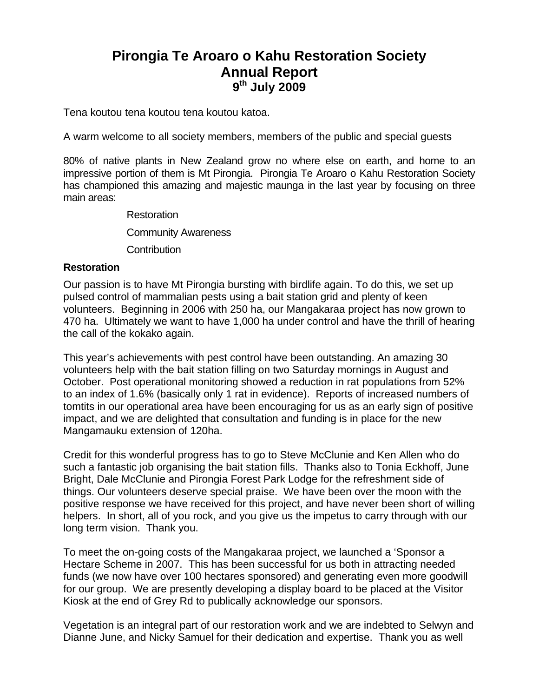# **Pirongia Te Aroaro o Kahu Restoration Society Annual Report 9th July 2009**

Tena koutou tena koutou tena koutou katoa.

A warm welcome to all society members, members of the public and special guests

80% of native plants in New Zealand grow no where else on earth, and home to an impressive portion of them is Mt Pirongia. Pirongia Te Aroaro o Kahu Restoration Society has championed this amazing and majestic maunga in the last year by focusing on three main areas:

> Restoration Community Awareness **Contribution**

## **Restoration**

Our passion is to have Mt Pirongia bursting with birdlife again. To do this, we set up pulsed control of mammalian pests using a bait station grid and plenty of keen volunteers. Beginning in 2006 with 250 ha, our Mangakaraa project has now grown to 470 ha. Ultimately we want to have 1,000 ha under control and have the thrill of hearing the call of the kokako again.

This year's achievements with pest control have been outstanding. An amazing 30 volunteers help with the bait station filling on two Saturday mornings in August and October. Post operational monitoring showed a reduction in rat populations from 52% to an index of 1.6% (basically only 1 rat in evidence). Reports of increased numbers of tomtits in our operational area have been encouraging for us as an early sign of positive impact, and we are delighted that consultation and funding is in place for the new Mangamauku extension of 120ha.

Credit for this wonderful progress has to go to Steve McClunie and Ken Allen who do such a fantastic job organising the bait station fills. Thanks also to Tonia Eckhoff, June Bright, Dale McClunie and Pirongia Forest Park Lodge for the refreshment side of things. Our volunteers deserve special praise. We have been over the moon with the positive response we have received for this project, and have never been short of willing helpers. In short, all of you rock, and you give us the impetus to carry through with our long term vision. Thank you.

To meet the on-going costs of the Mangakaraa project, we launched a 'Sponsor a Hectare Scheme in 2007. This has been successful for us both in attracting needed funds (we now have over 100 hectares sponsored) and generating even more goodwill for our group. We are presently developing a display board to be placed at the Visitor Kiosk at the end of Grey Rd to publically acknowledge our sponsors.

Vegetation is an integral part of our restoration work and we are indebted to Selwyn and Dianne June, and Nicky Samuel for their dedication and expertise. Thank you as well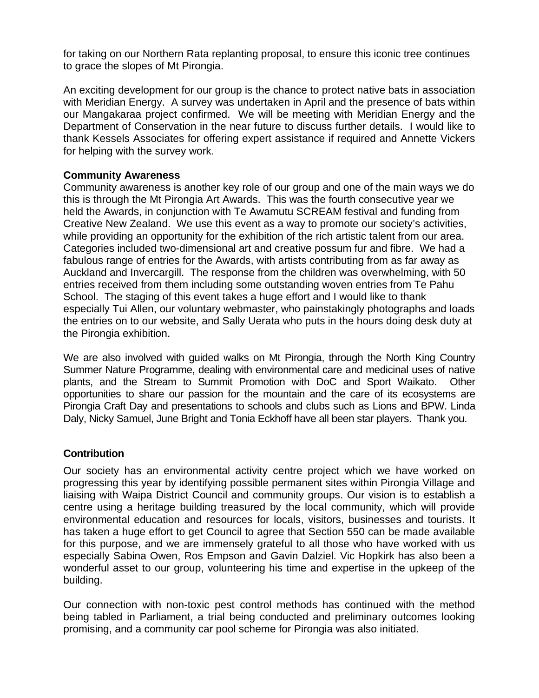for taking on our Northern Rata replanting proposal, to ensure this iconic tree continues to grace the slopes of Mt Pirongia.

An exciting development for our group is the chance to protect native bats in association with Meridian Energy. A survey was undertaken in April and the presence of bats within our Mangakaraa project confirmed. We will be meeting with Meridian Energy and the Department of Conservation in the near future to discuss further details. I would like to thank Kessels Associates for offering expert assistance if required and Annette Vickers for helping with the survey work.

### **Community Awareness**

Community awareness is another key role of our group and one of the main ways we do this is through the Mt Pirongia Art Awards. This was the fourth consecutive year we held the Awards, in conjunction with Te Awamutu SCREAM festival and funding from Creative New Zealand. We use this event as a way to promote our society's activities, while providing an opportunity for the exhibition of the rich artistic talent from our area. Categories included two-dimensional art and creative possum fur and fibre. We had a fabulous range of entries for the Awards, with artists contributing from as far away as Auckland and Invercargill. The response from the children was overwhelming, with 50 entries received from them including some outstanding woven entries from Te Pahu School. The staging of this event takes a huge effort and I would like to thank especially Tui Allen, our voluntary webmaster, who painstakingly photographs and loads the entries on to our website, and Sally Uerata who puts in the hours doing desk duty at the Pirongia exhibition.

We are also involved with guided walks on Mt Pirongia, through the North King Country Summer Nature Programme, dealing with environmental care and medicinal uses of native plants, and the Stream to Summit Promotion with DoC and Sport Waikato. Other opportunities to share our passion for the mountain and the care of its ecosystems are Pirongia Craft Day and presentations to schools and clubs such as Lions and BPW. Linda Daly, Nicky Samuel, June Bright and Tonia Eckhoff have all been star players. Thank you.

### **Contribution**

Our society has an environmental activity centre project which we have worked on progressing this year by identifying possible permanent sites within Pirongia Village and liaising with Waipa District Council and community groups. Our vision is to establish a centre using a heritage building treasured by the local community, which will provide environmental education and resources for locals, visitors, businesses and tourists. It has taken a huge effort to get Council to agree that Section 550 can be made available for this purpose, and we are immensely grateful to all those who have worked with us especially Sabina Owen, Ros Empson and Gavin Dalziel. Vic Hopkirk has also been a wonderful asset to our group, volunteering his time and expertise in the upkeep of the building.

Our connection with non-toxic pest control methods has continued with the method being tabled in Parliament, a trial being conducted and preliminary outcomes looking promising, and a community car pool scheme for Pirongia was also initiated.